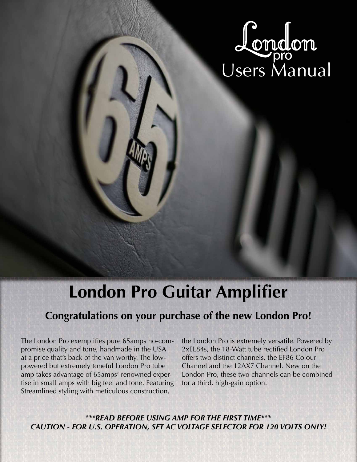# Jondon

## **London Pro Guitar Amplifier**

### **Congratulations on your purchase of the new London Pro!**

The London Pro exemplifies pure 65amps no-compromise quality and tone, handmade in the USA at a price that's back of the van worthy. The lowpowered but extremely toneful London Pro tube amp takes advantage of 65amps' renowned expertise in small amps with big feel and tone. Featuring Streamlined styling with meticulous construction,

the London Pro is extremely versatile. Powered by 2xEL84s, the 18-Watt tube rectified London Pro offers two distinct channels, the EF86 Colour Channel and the 12AX7 Channel. New on the London Pro, these two channels can be combined for a third, high-gain option.

*\*\*\*READ BEFORE USING AMP FOR THE FIRST TIME\*\*\* CAUTION - FOR U.S. OPERATION, SET AC VOLTAGE SELECTOR FOR 120 VOLTS ONLY!*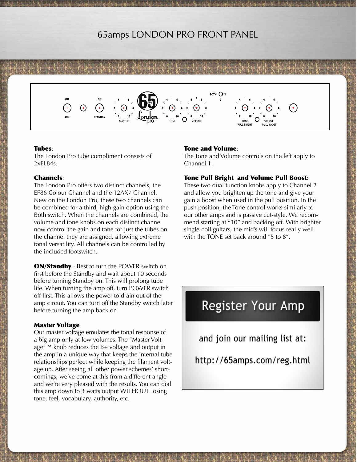#### 65amps LONDON PRO FRONT PANEL

#### Tubes:

The London Pro tube compliment consists of 2xEL84s.

**STANDB** 

#### Channels:

The London Pro offers two distinct channels, the EF86 Colour Channel and the 12AX7 Channel. New on the London Pro, these two channels can be combined for a third, high-gain option using the Both switch. When the channels are combined, the volume and tone knobs on each distinct channel now control the gain and tone for just the tubes on the channel they are assigned, allowing extreme tonal versatility. All channels can be controlled by the included footswitch.

ON/Standby - Best to turn the POWER switch on first before the Standby and wait about 10 seconds before turning Standby on. This will prolong tube life. When turning the amp off, turn POWER switch off first. This allows the power to drain out of the amp circuit. You can turn off the Standby switch later before turning the amp back on.

#### Master Voltage

Our master voltage emulates the tonal response of a big amp only at low volumes. The "Master Volt $age^{r_{TM}}$  knob reduces the B+ voltage and output in the amp in a unique way that keeps the internal tube relationships perfect while keeping the filament voltage up. After seeing all other power schemes' shortcomings, we've come at this from a different angle and we're very pleased with the results. You can dial this amp down to 3 watts output WITHOUT losing tone, feel, vocabulary, authority, etc.

#### Tone and Volume:

BOTH O1

The Tone and Volume controls on the left apply to Channel 1.

#### Tone Pull Bright and Volume Pull Boost:

These two dual function knobs apply to Channel 2 and allow you brighten up the tone and give your gain a boost when used in the pull position. In the push position, the Tone control works similarly to our other amps and is passive cut-style. We recommend starting at "10" and backing off. With brighter single-coil guitars, the mid's will focus really well with the TONE set back around "5 to 8".

## Register Your Amp

and join our mailing list at:

http://65amps.com/reg.html